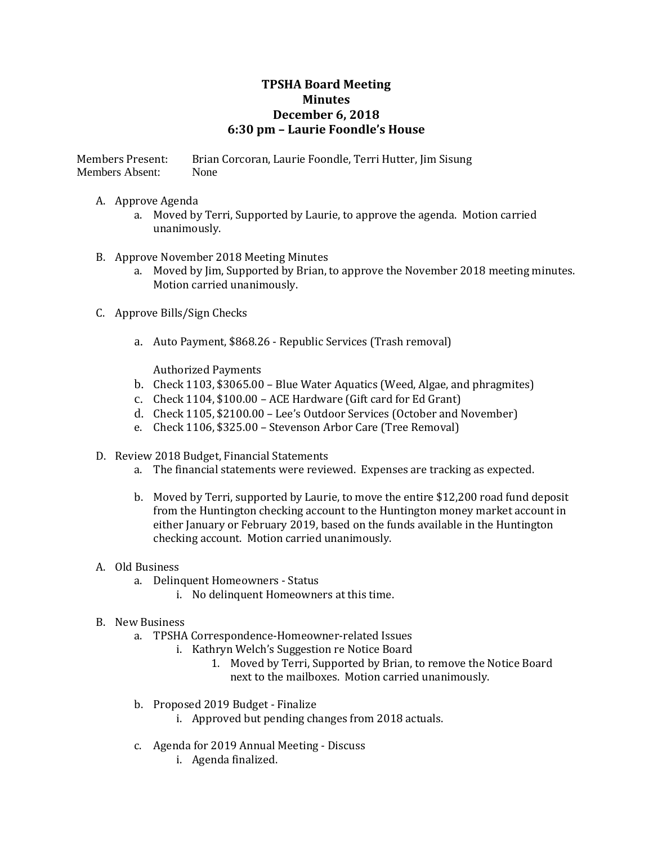## **TPSHA Board Meeting Minutes December 6, 2018 6:30 pm – Laurie Foondle's House**

Members Present: Brian Corcoran, Laurie Foondle, Terri Hutter, Jim Sisung Members Absent: None

## A. Approve Agenda

a. Moved by Terri, Supported by Laurie, to approve the agenda. Motion carried unanimously.

## B. Approve November 2018 Meeting Minutes

- a. Moved by Jim, Supported by Brian, to approve the November 2018 meeting minutes. Motion carried unanimously.
- C. Approve Bills/Sign Checks
	- a. Auto Payment, \$868.26 Republic Services (Trash removal)

Authorized Payments

- b. Check 1103, \$3065.00 Blue Water Aquatics (Weed, Algae, and phragmites)
- c. Check 1104, \$100.00 ACE Hardware (Gift card for Ed Grant)
- d. Check 1105, \$2100.00 Lee's Outdoor Services (October and November)
- e. Check 1106, \$325.00 Stevenson Arbor Care (Tree Removal)
- D. Review 2018 Budget, Financial Statements
	- a. The financial statements were reviewed. Expenses are tracking as expected.
	- b. Moved by Terri, supported by Laurie, to move the entire \$12,200 road fund deposit from the Huntington checking account to the Huntington money market account in either January or February 2019, based on the funds available in the Huntington checking account. Motion carried unanimously.
- A. Old Business
	- a. Delinquent Homeowners Status
		- i. No delinquent Homeowners at this time.
- B. New Business
	- a. TPSHA Correspondence-Homeowner-related Issues
		- i. Kathryn Welch's Suggestion re Notice Board
			- 1. Moved by Terri, Supported by Brian, to remove the Notice Board next to the mailboxes. Motion carried unanimously.
	- b. Proposed 2019 Budget Finalize
		- i. Approved but pending changes from 2018 actuals.
	- c. Agenda for 2019 Annual Meeting Discuss
		- i. Agenda finalized.